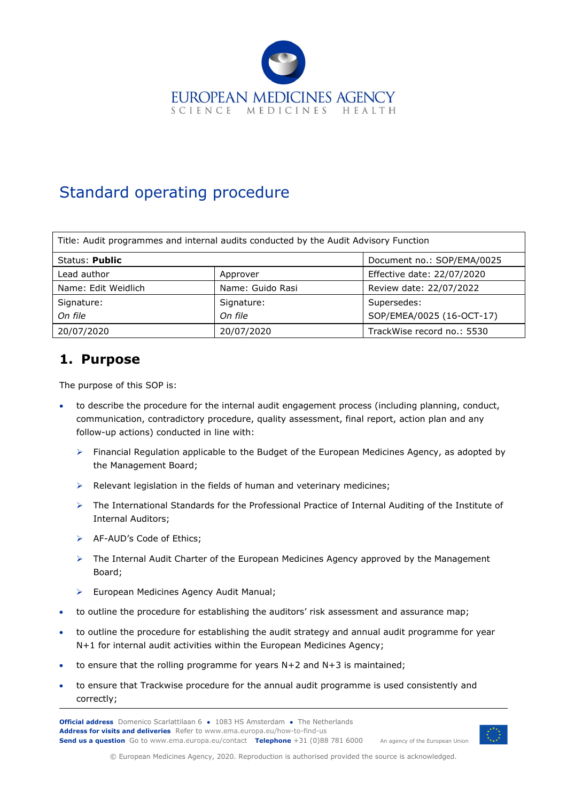

# Standard operating procedure

| Title: Audit programmes and internal audits conducted by the Audit Advisory Function |                  |                            |  |
|--------------------------------------------------------------------------------------|------------------|----------------------------|--|
| Status: Public                                                                       |                  | Document no.: SOP/EMA/0025 |  |
| Lead author                                                                          | Approver         | Effective date: 22/07/2020 |  |
| Name: Edit Weidlich                                                                  | Name: Guido Rasi | Review date: 22/07/2022    |  |
| Signature:                                                                           | Signature:       | Supersedes:                |  |
| On file                                                                              | On file          | SOP/EMEA/0025 (16-OCT-17)  |  |
| 20/07/2020                                                                           | 20/07/2020       | TrackWise record no.: 5530 |  |

#### **1. Purpose**

The purpose of this SOP is:

- to describe the procedure for the internal audit engagement process (including planning, conduct, communication, contradictory procedure, quality assessment, final report, action plan and any follow-up actions) conducted in line with:
	- $\triangleright$  Financial Regulation applicable to the Budget of the European Medicines Agency, as adopted by the Management Board;
	- $\triangleright$  Relevant legislation in the fields of human and veterinary medicines;
	- The International Standards for the Professional Practice of Internal Auditing of the Institute of Internal Auditors;
	- > AF-AUD's Code of Ethics;
	- $\triangleright$  The Internal Audit Charter of the European Medicines Agency approved by the Management Board;
	- **European Medicines Agency Audit Manual;**
- to outline the procedure for establishing the auditors' risk assessment and assurance map;
- to outline the procedure for establishing the audit strategy and annual audit programme for year N+1 for internal audit activities within the European Medicines Agency;
- to ensure that the rolling programme for years  $N+2$  and  $N+3$  is maintained;
- to ensure that Trackwise procedure for the annual audit programme is used consistently and correctly;

**Official address** Domenico Scarlattilaan 6 **●** 1083 HS Amsterdam **●** The Netherlands An agency of the European Union **Address for visits and deliveries** Refer to www.ema.europa.eu/how-to-find-us **Send us a question** Go to www.ema.europa.eu/contact **Telephone** +31 (0)88 781 6000



© European Medicines Agency, 2020. Reproduction is authorised provided the source is acknowledged.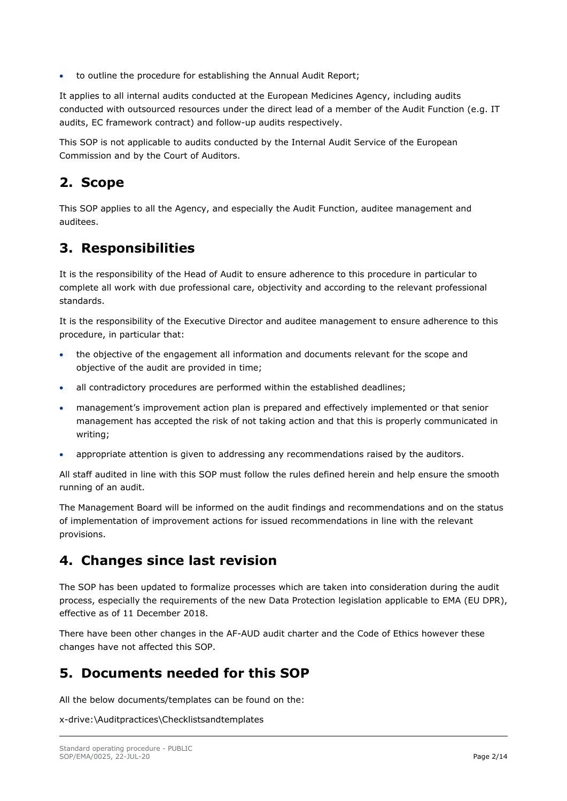• to outline the procedure for establishing the Annual Audit Report;

It applies to all internal audits conducted at the European Medicines Agency, including audits conducted with outsourced resources under the direct lead of a member of the Audit Function (e.g. IT audits, EC framework contract) and follow-up audits respectively.

This SOP is not applicable to audits conducted by the Internal Audit Service of the European Commission and by the Court of Auditors.

### **2. Scope**

This SOP applies to all the Agency, and especially the Audit Function, auditee management and auditees.

#### **3. Responsibilities**

It is the responsibility of the Head of Audit to ensure adherence to this procedure in particular to complete all work with due professional care, objectivity and according to the relevant professional standards.

It is the responsibility of the Executive Director and auditee management to ensure adherence to this procedure, in particular that:

- the objective of the engagement all information and documents relevant for the scope and objective of the audit are provided in time;
- all contradictory procedures are performed within the established deadlines;
- management's improvement action plan is prepared and effectively implemented or that senior management has accepted the risk of not taking action and that this is properly communicated in writing;
- appropriate attention is given to addressing any recommendations raised by the auditors.

All staff audited in line with this SOP must follow the rules defined herein and help ensure the smooth running of an audit.

The Management Board will be informed on the audit findings and recommendations and on the status of implementation of improvement actions for issued recommendations in line with the relevant provisions.

#### **4. Changes since last revision**

The SOP has been updated to formalize processes which are taken into consideration during the audit process, especially the requirements of the new Data Protection legislation applicable to EMA (EU DPR), effective as of 11 December 2018.

There have been other changes in the AF-AUD audit charter and the Code of Ethics however these changes have not affected this SOP.

#### **5. Documents needed for this SOP**

All the below documents/templates can be found on the:

x-drive:\Auditpractices\Checklistsandtemplates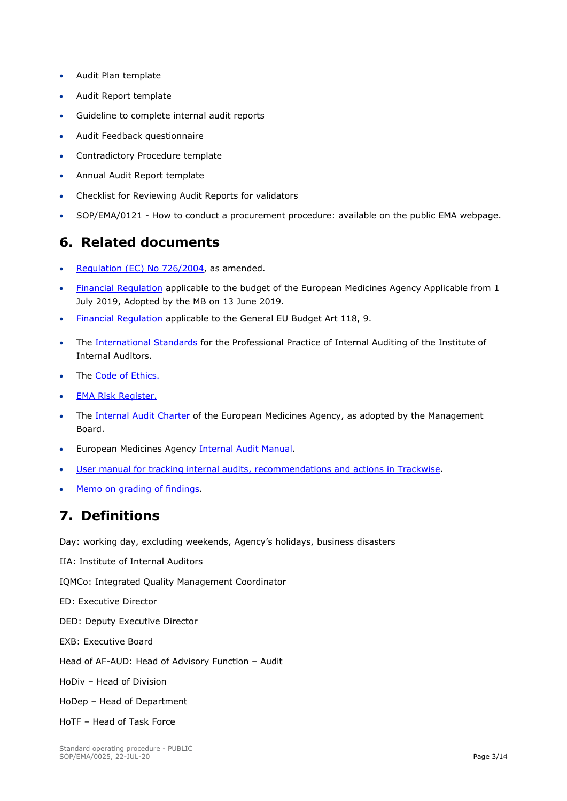- Audit Plan template
- Audit Report template
- Guideline to complete internal audit reports
- Audit Feedback questionnaire
- Contradictory Procedure template
- Annual Audit Report template
- Checklist for Reviewing Audit Reports for validators
- SOP/EMA/0121 How to conduct a procurement procedure: available on the public EMA webpage.

#### **6. Related documents**

- [Regulation \(EC\) No 726/2004,](https://ec.europa.eu/health/sites/health/files/files/eudralex/vol-1/reg_2004_726/reg_2004_726_en.pdf) as amended.
- [Financial Regulation](https://docs.eudra.org/webtop/drl/objectId/090142b2844bc856) applicable to the budget of the European Medicines Agency Applicable from 1 July 2019, Adopted by the MB on 13 June 2019.
- [Financial Regulation](https://eur-lex.europa.eu/legal-content/EN/TXT/PDF/?uri=OJ:L:2018:193:FULL&from=EN) applicable to the General EU Budget Art 118, 9.
- The [International Standards](https://na.theiia.org/standards-guidance/mandatory-guidance/Pages/Standards.aspx) for the Professional Practice of Internal Auditing of the Institute of Internal Auditors.
- The [Code of Ethics.](http://docs.eudra.org/webtop/component/drl?objectId=090142b28118830b&Reload=1501496502863)
- EMA Risk Register.
- The [Internal Audit Charter](https://docs.eudra.org/webtop/drl/objectId/090142b283a39890) of the European Medicines Agency, as adopted by the Management Board.
- European Medicines Agency [Internal Audit Manual.](http://docs.eudra.org/webtop/component/drl?objectId=090142b281683f56&Reload=1501496573840)
- [User manual for tracking internal audits, recommendations and actions in Trackwise.](https://docs.eudra.org/webtop/drl/objectId/090142b280c8c0b3)
- [Memo on grading of findings.](http://emeaplus/EMEAPlus_Documents/IQM/AUDITS/InternalAudits/Internal%20audit%20documents/OFI%20grading%20and%20workflow%20.pdf)

## **7. Definitions**

Day: working day, excluding weekends, Agency's holidays, business disasters

IIA: Institute of Internal Auditors

IQMCo: Integrated Quality Management Coordinator

ED: Executive Director

- DED: Deputy Executive Director
- EXB: Executive Board

Head of AF-AUD: Head of Advisory Function – Audit

HoDiv – Head of Division

HoDep – Head of Department

HoTF – Head of Task Force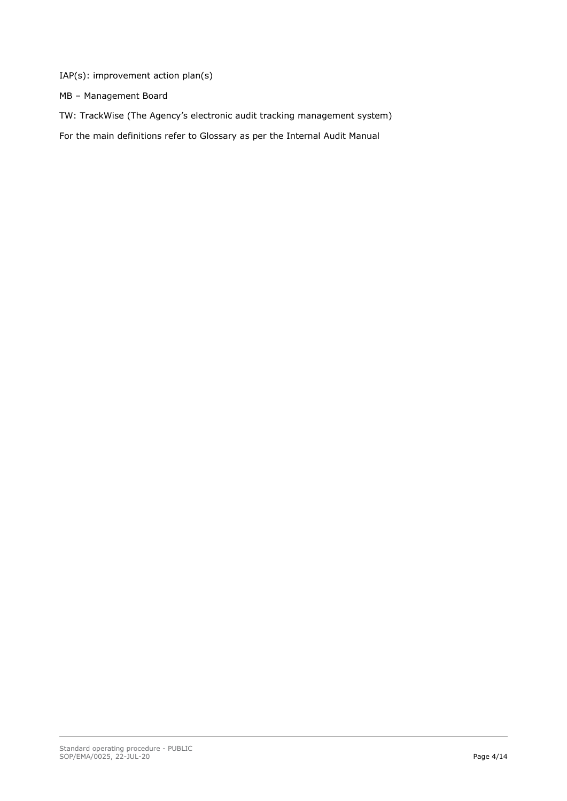IAP(s): improvement action plan(s)

MB – Management Board

TW: TrackWise (The Agency's electronic audit tracking management system)

For the main definitions refer to Glossary as per the Internal Audit Manual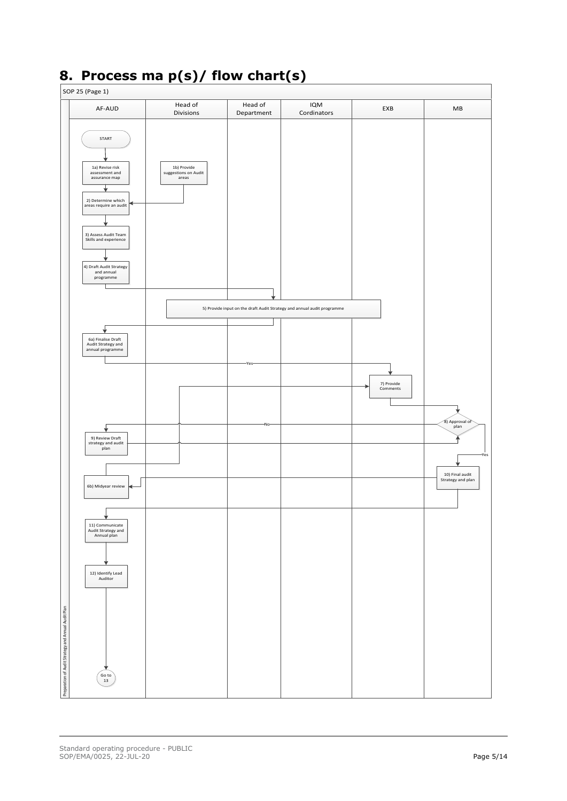

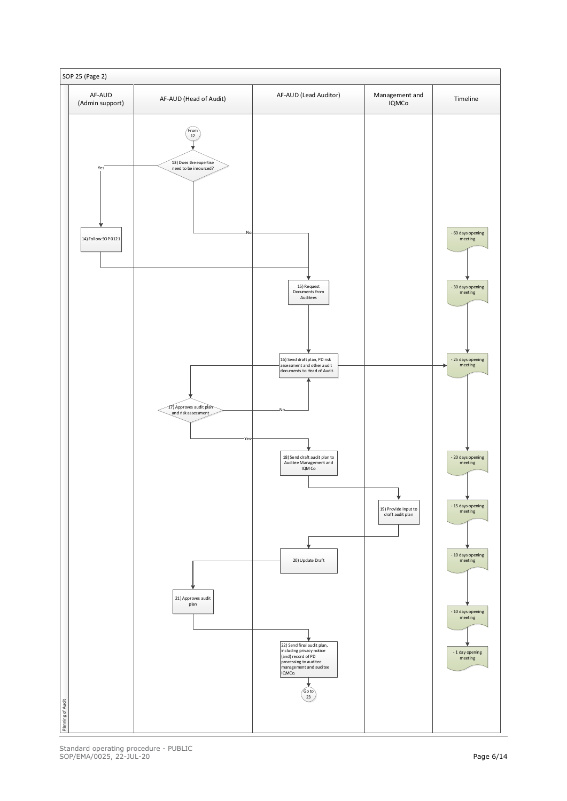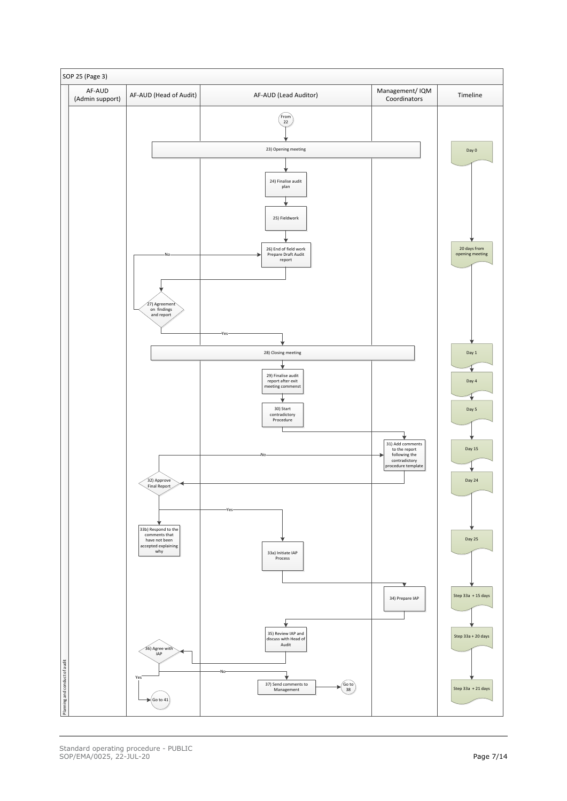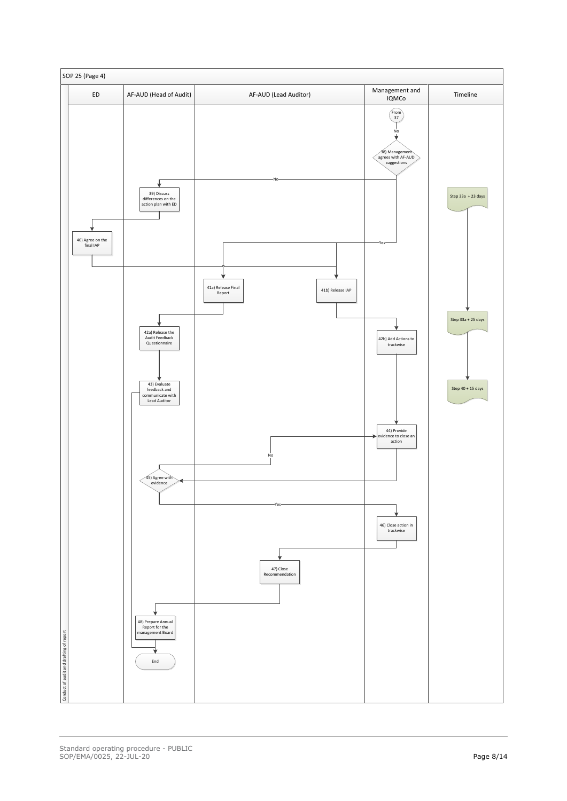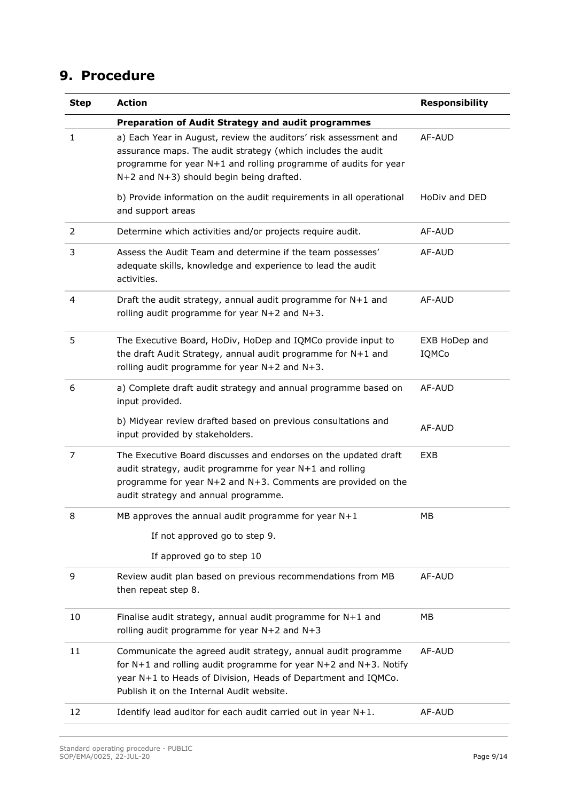## **9. Procedure**

| <b>Step</b> | <b>Action</b>                                                                                                                                                                                                                                          | <b>Responsibility</b>  |
|-------------|--------------------------------------------------------------------------------------------------------------------------------------------------------------------------------------------------------------------------------------------------------|------------------------|
|             | <b>Preparation of Audit Strategy and audit programmes</b>                                                                                                                                                                                              |                        |
| 1           | a) Each Year in August, review the auditors' risk assessment and<br>assurance maps. The audit strategy (which includes the audit<br>programme for year N+1 and rolling programme of audits for year<br>$N+2$ and $N+3$ ) should begin being drafted.   | AF-AUD                 |
|             | b) Provide information on the audit requirements in all operational<br>and support areas                                                                                                                                                               | HoDiv and DED          |
| 2           | Determine which activities and/or projects require audit.                                                                                                                                                                                              | AF-AUD                 |
| 3           | Assess the Audit Team and determine if the team possesses'<br>adequate skills, knowledge and experience to lead the audit<br>activities.                                                                                                               | AF-AUD                 |
| 4           | Draft the audit strategy, annual audit programme for $N+1$ and<br>rolling audit programme for year $N+2$ and $N+3$ .                                                                                                                                   | AF-AUD                 |
| 5           | The Executive Board, HoDiv, HoDep and IQMCo provide input to<br>the draft Audit Strategy, annual audit programme for N+1 and<br>rolling audit programme for year $N+2$ and $N+3$ .                                                                     | EXB HoDep and<br>IQMCo |
| 6           | a) Complete draft audit strategy and annual programme based on<br>input provided.                                                                                                                                                                      | AF-AUD                 |
|             | b) Midyear review drafted based on previous consultations and<br>input provided by stakeholders.                                                                                                                                                       | AF-AUD                 |
| 7           | The Executive Board discusses and endorses on the updated draft<br>audit strategy, audit programme for year N+1 and rolling<br>programme for year N+2 and N+3. Comments are provided on the<br>audit strategy and annual programme.                    | EXB                    |
| 8           | MB approves the annual audit programme for year $N+1$                                                                                                                                                                                                  | МB                     |
|             | If not approved go to step 9.                                                                                                                                                                                                                          |                        |
|             | If approved go to step 10                                                                                                                                                                                                                              |                        |
| 9           | Review audit plan based on previous recommendations from MB<br>then repeat step 8.                                                                                                                                                                     | AF-AUD                 |
| 10          | Finalise audit strategy, annual audit programme for $N+1$ and<br>rolling audit programme for year $N+2$ and $N+3$                                                                                                                                      | MB                     |
| 11          | Communicate the agreed audit strategy, annual audit programme<br>for $N+1$ and rolling audit programme for year $N+2$ and $N+3$ . Notify<br>year N+1 to Heads of Division, Heads of Department and IQMCo.<br>Publish it on the Internal Audit website. | AF-AUD                 |
| 12          | Identify lead auditor for each audit carried out in year $N+1$ .                                                                                                                                                                                       | AF-AUD                 |
|             |                                                                                                                                                                                                                                                        |                        |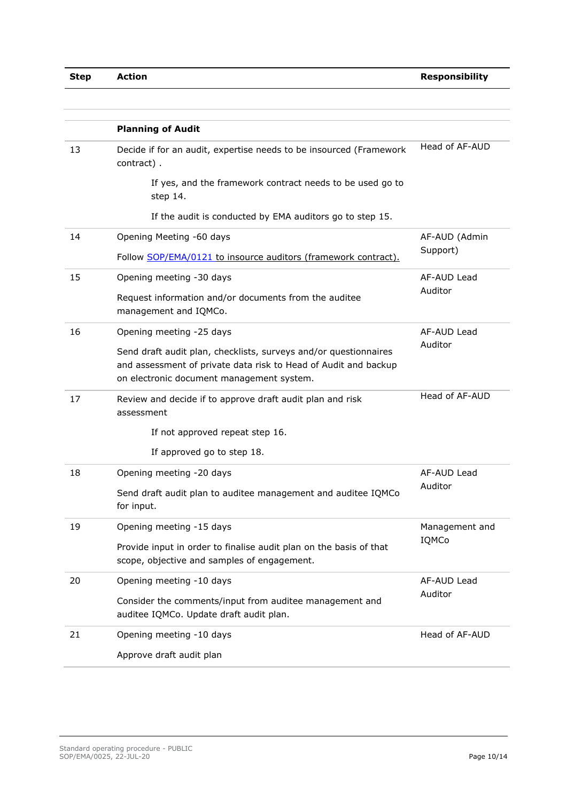|    | <b>Planning of Audit</b>                                                                                                                                                         |                         |
|----|----------------------------------------------------------------------------------------------------------------------------------------------------------------------------------|-------------------------|
| 13 | Decide if for an audit, expertise needs to be insourced (Framework<br>contract).                                                                                                 | Head of AF-AUD          |
|    | If yes, and the framework contract needs to be used go to<br>step 14.                                                                                                            |                         |
|    | If the audit is conducted by EMA auditors go to step 15.                                                                                                                         |                         |
| 14 | Opening Meeting -60 days                                                                                                                                                         | AF-AUD (Admin           |
|    | Follow SOP/EMA/0121 to insource auditors (framework contract).                                                                                                                   | Support)                |
| 15 | Opening meeting -30 days                                                                                                                                                         | AF-AUD Lead             |
|    | Request information and/or documents from the auditee<br>management and IQMCo.                                                                                                   | Auditor                 |
| 16 | Opening meeting -25 days                                                                                                                                                         | AF-AUD Lead             |
|    | Send draft audit plan, checklists, surveys and/or questionnaires<br>and assessment of private data risk to Head of Audit and backup<br>on electronic document management system. | Auditor                 |
| 17 | Review and decide if to approve draft audit plan and risk<br>assessment                                                                                                          | Head of AF-AUD          |
|    | If not approved repeat step 16.                                                                                                                                                  |                         |
|    | If approved go to step 18.                                                                                                                                                       |                         |
| 18 | Opening meeting -20 days                                                                                                                                                         | AF-AUD Lead             |
|    | Send draft audit plan to auditee management and auditee IQMCo<br>for input.                                                                                                      | Auditor                 |
| 19 | Opening meeting -15 days                                                                                                                                                         | Management and<br>IQMCo |
|    | Provide input in order to finalise audit plan on the basis of that<br>scope, objective and samples of engagement.                                                                |                         |
| 20 | Opening meeting -10 days                                                                                                                                                         | AF-AUD Lead<br>Auditor  |
|    | Consider the comments/input from auditee management and<br>auditee IQMCo. Update draft audit plan.                                                                               |                         |
| 21 | Opening meeting -10 days                                                                                                                                                         | Head of AF-AUD          |
|    | Approve draft audit plan                                                                                                                                                         |                         |
|    |                                                                                                                                                                                  |                         |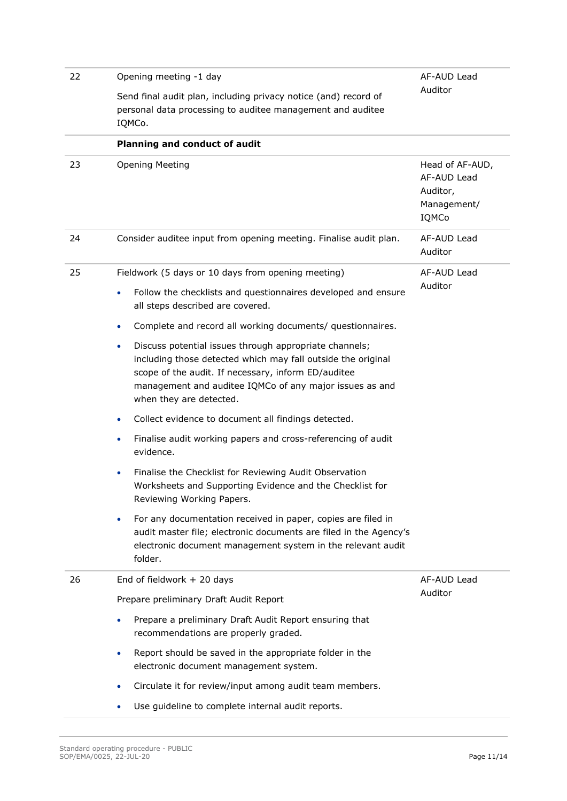| 22 | Opening meeting -1 day                                                                                                                                                                                                                                                   | AF-AUD Lead                                                        |
|----|--------------------------------------------------------------------------------------------------------------------------------------------------------------------------------------------------------------------------------------------------------------------------|--------------------------------------------------------------------|
|    | Send final audit plan, including privacy notice (and) record of<br>personal data processing to auditee management and auditee<br>IQMCo.                                                                                                                                  | Auditor                                                            |
|    | Planning and conduct of audit                                                                                                                                                                                                                                            |                                                                    |
| 23 | <b>Opening Meeting</b>                                                                                                                                                                                                                                                   | Head of AF-AUD,<br>AF-AUD Lead<br>Auditor,<br>Management/<br>IQMCo |
| 24 | Consider auditee input from opening meeting. Finalise audit plan.                                                                                                                                                                                                        | AF-AUD Lead<br>Auditor                                             |
| 25 | Fieldwork (5 days or 10 days from opening meeting)                                                                                                                                                                                                                       | AF-AUD Lead                                                        |
|    | Follow the checklists and questionnaires developed and ensure<br>٠<br>all steps described are covered.                                                                                                                                                                   | Auditor                                                            |
|    | Complete and record all working documents/ questionnaires.<br>$\bullet$                                                                                                                                                                                                  |                                                                    |
|    | Discuss potential issues through appropriate channels;<br>٠<br>including those detected which may fall outside the original<br>scope of the audit. If necessary, inform ED/auditee<br>management and auditee IQMCo of any major issues as and<br>when they are detected. |                                                                    |
|    | Collect evidence to document all findings detected.<br>٠                                                                                                                                                                                                                 |                                                                    |
|    | Finalise audit working papers and cross-referencing of audit<br>۰<br>evidence.                                                                                                                                                                                           |                                                                    |
|    | Finalise the Checklist for Reviewing Audit Observation<br>$\bullet$<br>Worksheets and Supporting Evidence and the Checklist for<br>Reviewing Working Papers.                                                                                                             |                                                                    |
|    | For any documentation received in paper, copies are filed in<br>audit master file; electronic documents are filed in the Agency's<br>electronic document management system in the relevant audit<br>folder.                                                              |                                                                    |
| 26 | End of fieldwork $+20$ days                                                                                                                                                                                                                                              | AF-AUD Lead                                                        |
|    | Prepare preliminary Draft Audit Report                                                                                                                                                                                                                                   | Auditor                                                            |
|    | Prepare a preliminary Draft Audit Report ensuring that<br>$\bullet$<br>recommendations are properly graded.                                                                                                                                                              |                                                                    |
|    | Report should be saved in the appropriate folder in the<br>٠<br>electronic document management system.                                                                                                                                                                   |                                                                    |
|    | Circulate it for review/input among audit team members.<br>۰                                                                                                                                                                                                             |                                                                    |
|    | Use guideline to complete internal audit reports.                                                                                                                                                                                                                        |                                                                    |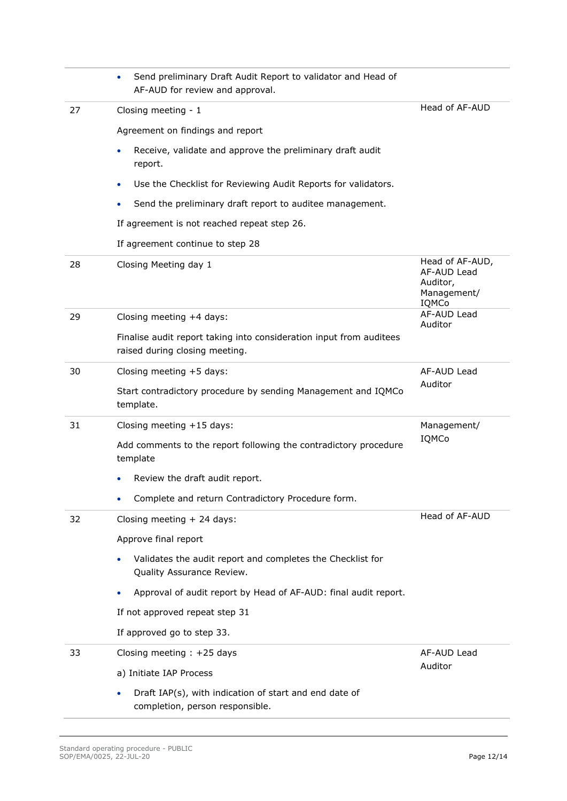|    | Send preliminary Draft Audit Report to validator and Head of<br>AF-AUD for review and approval.       |                                                                    |
|----|-------------------------------------------------------------------------------------------------------|--------------------------------------------------------------------|
| 27 | Closing meeting - 1                                                                                   | Head of AF-AUD                                                     |
|    | Agreement on findings and report                                                                      |                                                                    |
|    | Receive, validate and approve the preliminary draft audit<br>report.                                  |                                                                    |
|    | Use the Checklist for Reviewing Audit Reports for validators.<br>$\bullet$                            |                                                                    |
|    | Send the preliminary draft report to auditee management.                                              |                                                                    |
|    | If agreement is not reached repeat step 26.                                                           |                                                                    |
|    | If agreement continue to step 28                                                                      |                                                                    |
| 28 | Closing Meeting day 1                                                                                 | Head of AF-AUD,<br>AF-AUD Lead<br>Auditor,<br>Management/<br>IQMCo |
| 29 | Closing meeting +4 days:                                                                              | AF-AUD Lead<br>Auditor                                             |
|    | Finalise audit report taking into consideration input from auditees<br>raised during closing meeting. |                                                                    |
| 30 | Closing meeting +5 days:                                                                              | AF-AUD Lead                                                        |
|    | Start contradictory procedure by sending Management and IQMCo<br>template.                            | Auditor                                                            |
| 31 | Closing meeting +15 days:                                                                             | Management/                                                        |
|    | Add comments to the report following the contradictory procedure<br>template                          | IQMCo                                                              |
|    | Review the draft audit report.                                                                        |                                                                    |
|    | Complete and return Contradictory Procedure form.                                                     |                                                                    |
| 32 | Closing meeting $+$ 24 days:                                                                          | Head of AF-AUD                                                     |
|    | Approve final report                                                                                  |                                                                    |
|    | Validates the audit report and completes the Checklist for<br>Quality Assurance Review.               |                                                                    |
|    | Approval of audit report by Head of AF-AUD: final audit report.                                       |                                                                    |
|    | If not approved repeat step 31                                                                        |                                                                    |
|    | If approved go to step 33.                                                                            |                                                                    |
| 33 | Closing meeting $: +25$ days                                                                          | AF-AUD Lead                                                        |
|    | a) Initiate IAP Process                                                                               | Auditor                                                            |
|    | Draft IAP(s), with indication of start and end date of<br>completion, person responsible.             |                                                                    |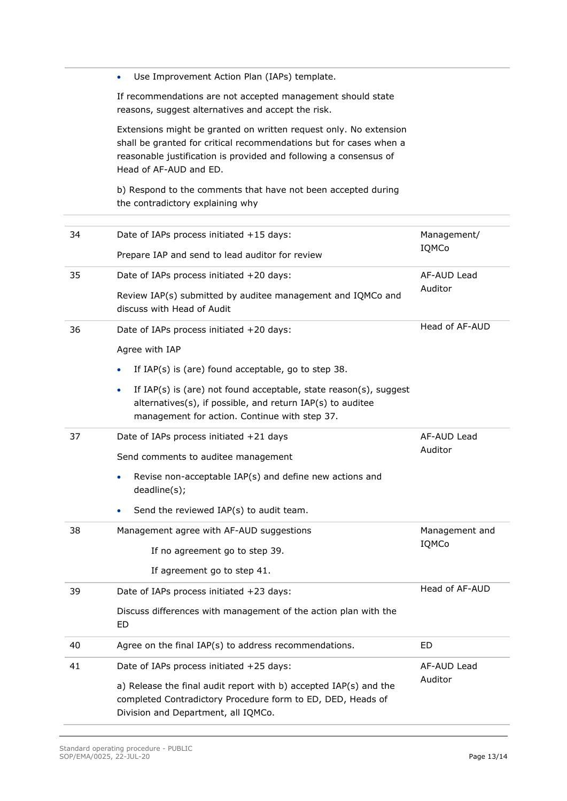|    | Use Improvement Action Plan (IAPs) template.<br>$\bullet$                                                                                                                                                                              |                |  |
|----|----------------------------------------------------------------------------------------------------------------------------------------------------------------------------------------------------------------------------------------|----------------|--|
|    | If recommendations are not accepted management should state<br>reasons, suggest alternatives and accept the risk.                                                                                                                      |                |  |
|    | Extensions might be granted on written request only. No extension<br>shall be granted for critical recommendations but for cases when a<br>reasonable justification is provided and following a consensus of<br>Head of AF-AUD and ED. |                |  |
|    | b) Respond to the comments that have not been accepted during<br>the contradictory explaining why                                                                                                                                      |                |  |
| 34 | Date of IAPs process initiated +15 days:                                                                                                                                                                                               | Management/    |  |
|    | Prepare IAP and send to lead auditor for review                                                                                                                                                                                        | IQMCo          |  |
| 35 | Date of IAPs process initiated +20 days:                                                                                                                                                                                               | AF-AUD Lead    |  |
|    | Review IAP(s) submitted by auditee management and IQMCo and<br>discuss with Head of Audit                                                                                                                                              | Auditor        |  |
| 36 | Date of IAPs process initiated +20 days:                                                                                                                                                                                               | Head of AF-AUD |  |
|    | Agree with IAP                                                                                                                                                                                                                         |                |  |
|    | If IAP(s) is (are) found acceptable, go to step 38.<br>$\bullet$                                                                                                                                                                       |                |  |
|    | If IAP(s) is (are) not found acceptable, state reason(s), suggest<br>$\bullet$<br>alternatives(s), if possible, and return IAP(s) to auditee<br>management for action. Continue with step 37.                                          |                |  |
| 37 | Date of IAPs process initiated +21 days                                                                                                                                                                                                | AF-AUD Lead    |  |
|    | Send comments to auditee management                                                                                                                                                                                                    | Auditor        |  |
|    | Revise non-acceptable IAP(s) and define new actions and<br>deadline(s);                                                                                                                                                                |                |  |
|    | Send the reviewed IAP(s) to audit team.                                                                                                                                                                                                |                |  |
| 38 | Management agree with AF-AUD suggestions                                                                                                                                                                                               | Management and |  |
|    | If no agreement go to step 39.                                                                                                                                                                                                         | IQMCo          |  |
|    | If agreement go to step 41.                                                                                                                                                                                                            |                |  |
| 39 | Date of IAPs process initiated +23 days:                                                                                                                                                                                               | Head of AF-AUD |  |
|    | Discuss differences with management of the action plan with the<br>ED                                                                                                                                                                  |                |  |
| 40 | Agree on the final IAP(s) to address recommendations.                                                                                                                                                                                  | ED             |  |
| 41 | Date of IAPs process initiated +25 days:                                                                                                                                                                                               | AF-AUD Lead    |  |
|    | a) Release the final audit report with b) accepted IAP(s) and the<br>completed Contradictory Procedure form to ED, DED, Heads of<br>Division and Department, all IQMCo.                                                                | Auditor        |  |